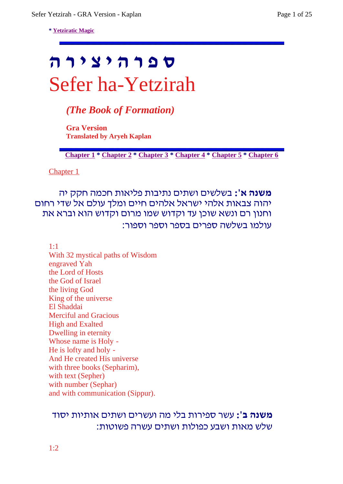**\* Yetziratic Magic**

# **ס פ ר ה י צ י ר ה** Sefer ha-Yetzirah

*(The Book of Formation)*

**Gra Version Translated by Aryeh Kaplan**

**Chapter 1 \* Chapter 2 \* Chapter 3 \* Chapter 4 \* Chapter 5 \* Chapter 6**

Chapter 1

**משנה א':** בשלשים ושתים נתיבות פליאות חכמה חקק יה יהוה צבאות אלהי ישראל אלהים חיים ומלך עולם אל שדי רחום וחנון רם ונשא שוכן עד וקדוש שמו מרום וקדוש הוא וברא את עולמו בשלשה ספרים בספר וספר וספור:

1:1

With 32 mystical paths of Wisdom engraved Yah the Lord of Hosts the God of Israel the living God King of the universe El Shaddai Merciful and Gracious High and Exalted Dwelling in eternity Whose name is Holy - He is lofty and holy - And He created His universe with three books (Sepharim), with text (Sepher) with number (Sephar) and with communication (Sippur).

### **משנה ב':** עשר ספירות בלי מה ועשרים ושתים אותיות יסוד שלש מאות ושבע כפולות ושתים עשרה פשוטות: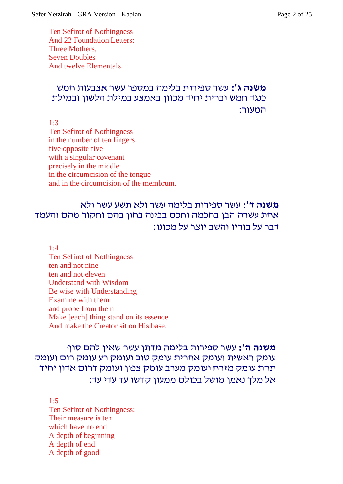Ten Sefirot of Nothingness And 22 Foundation Letters: Three Mothers, Seven Doubles And twelve Elementals.

# **משנה ג':** עשר ספירות בלימה במספר עשר אצבעות חמש כנגד חמש וברית יחיד מכוון באמצע במילת הלשון ובמילת המעור:

1:3

Ten Sefirot of Nothingness in the number of ten fingers five opposite five with a singular covenant precisely in the middle in the circumcision of the tongue and in the circumcision of the membrum.

# **משנה ד':** עשר ספירות בלימה עשר ולא תשע עשר ולא אחת עשרה הבן בחכמה וחכם בבינה בחון בהם וחקור מהם והעמד דבר על בוריו והשב יוצר על מכונו:

1:4

Ten Sefirot of Nothingness ten and not nine ten and not eleven Understand with Wisdom Be wise with Understanding Examine with them and probe from them Make [each] thing stand on its essence And make the Creator sit on His base.

# **משנה ה':** עשר ספירות בלימה מדתן עשר שאין להם סוף עומק ראשית ועומק אחרית עומק טוב ועומק רע עומק רום ועומק תחת עומק מזרח ועומק מערב עומק צפון ועומק דרום אדון יחיד אל מלך נאמן מושל בכולם ממעון קדשו עד עדי עד:

1:5 Ten Sefirot of Nothingness: Their measure is ten which have no end A depth of beginning A depth of end A depth of good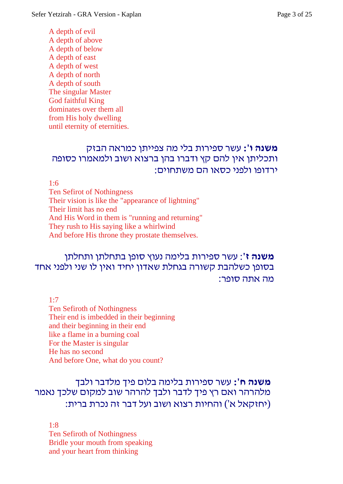A depth of evil A depth of above A depth of below A depth of east A depth of west A depth of north A depth of south The singular Master God faithful King dominates over them all from His holy dwelling until eternity of eternities.

### **משנה ו':** עשר ספירות בלי מה צפייתן כמראה הבזק ותכליתן אין להם קץ ודברו בהן ברצוא ושוב ולמאמרו כסופה ירדופו ולפני כסאו הם משתחוים:

1:6

Ten Sefirot of Nothingness Their vision is like the "appearance of lightning" Their limit has no end And His Word in them is "running and returning" They rush to His saying like a whirlwind And before His throne they prostate themselves.

# **משנה ז'**: עשר ספירות בלימה נעוץ סופן בתחלתן ותחלתן בסופן כשלהבת קשורה בגחלת שאדון יחיד ואין לו שני ולפני אחד מה אתה סופר:

1:7

Ten Sefiroth of Nothingness Their end is imbedded in their beginning and their beginning in their end like a flame in a burning coal For the Master is singular He has no second And before One, what do you count?

### **משנה ח':** עשר ספירות בלימה בלום פיך מלדבר ולבך מלהרהר ואם רץ פיך לדבר ולבך להרהר שוב למקום שלכך נאמר (יחזקאל א') והחיות רצוא ושוב ועל דבר זה נכרת ברית:

1:8 Ten Sefiroth of Nothingness Bridle your mouth from speaking and your heart from thinking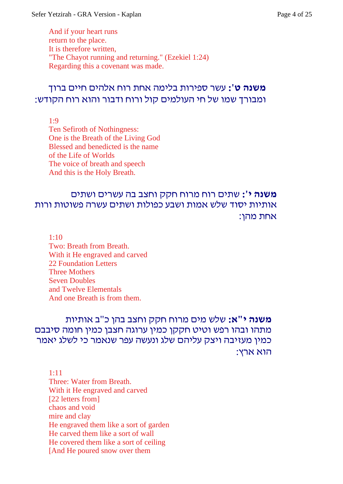And if your heart runs return to the place. It is therefore written, "The Chayot running and returning." (Ezekiel 1:24) Regarding this a covenant was made.

# **משנה ט':** עשר ספירות בלימה אחת רוח אלהים חיים ברוך ומבורך שמו של חי העולמים קול ורוח ודבור והוא רוח הקודש:

1:9

Ten Sefiroth of Nothingness: One is the Breath of the Living God Blessed and benedicted is the name of the Life of Worlds The voice of breath and speech And this is the Holy Breath.

# **משנה י':** שתים רוח מרוח חקק וחצב בה עשרים ושתים אותיות יסוד שלש אמות ושבע כפולות ושתים עשרה פשוטות ורות אחת מהן:

1:10 Two: Breath from Breath. With it He engraved and carved 22 Foundation Letters Three Mothers Seven Doubles

and Twelve Elementals

And one Breath is from them.

# **משנה י"א:** שלש מים מרוח חקק וחצב בהן כ"ב אותיות מתהו ובהו רפש וטיט חקקן כמין ערוגה חצבן כמין חומה סיבבם כמין מעזיבה ויצק עליהם שלג ונעשה עפר שנאמר כי לשלג יאמר הוא ארץ:

1:11 Three: Water from Breath. With it He engraved and carved [22 letters from] chaos and void mire and clay He engraved them like a sort of garden He carved them like a sort of wall He covered them like a sort of ceiling [And He poured snow over them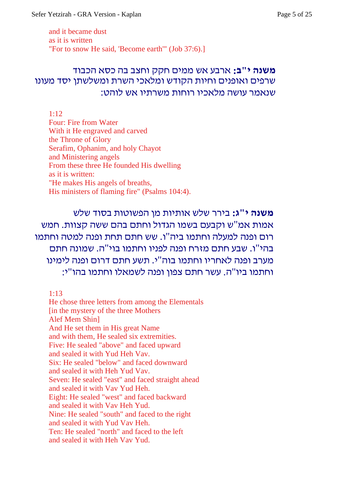and it became dust as it is written "For to snow He said, 'Become earth'" (Job 37:6).]

# **משנה י"ב:** ארבע אש ממים חקק וחצב בה כסא הכבוד שרפים ואופנים וחיות הקודש ומלאכי השרת ומשלשתן יסד מעונו שנאמר עושה מלאכיו רוחות משרתיו אש לוהט:

#### $1.12$

Four: Fire from Water With it He engraved and carved the Throne of Glory Serafim, Ophanim, and holy Chayot and Ministering angels From these three He founded His dwelling as it is written: "He makes His angels of breaths, His ministers of flaming fire" (Psalms 104:4).

**משנה י"ג:** בירר שלש אותיות מן הפשוטות בסוד שלש אמות אמ"ש וקבעם בשמו הגדול וחתם בהם ששה קצוות. חמש רום ופנה למעלה וחתמו ביה"ו. שש חתם תחת ופנה למטה וחתמו בהי"ו. שבע חתם מזרח ופנה לפניו וחתמו בוי"ה. שמונה חתם מערב ופנה לאחריו וחתמו בוה"י. תשע חתם דרום ופנה לימינו וחתמו ביו"ה. עשר חתם צפון ופנה לשמאלו וחתמו בהו"י:

1:13

He chose three letters from among the Elementals [in the mystery of the three Mothers Alef Mem Shin] And He set them in His great Name and with them, He sealed six extremities. Five: He sealed "above" and faced upward and sealed it with Yud Heh Vav. Six: He sealed "below" and faced downward and sealed it with Heh Yud Vav. Seven: He sealed "east" and faced straight ahead and sealed it with Vav Yud Heh. Eight: He sealed "west" and faced backward and sealed it with Vav Heh Yud. Nine: He sealed "south" and faced to the right and sealed it with Yud Vav Heh. Ten: He sealed "north" and faced to the left and sealed it with Heh Vav Yud.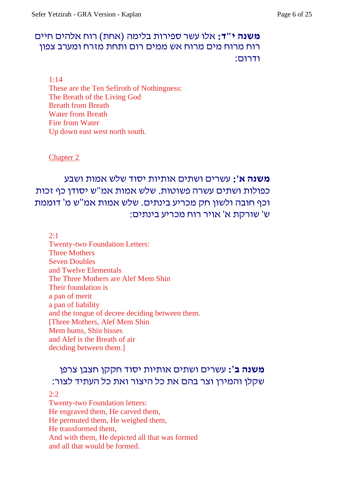### **משנה י"ד:** אלו עשר ספירות בלימה (אחת) רוח אלהים חיים רוח מרוח מים מרוח אש ממים רום ותחת מזרח ומערב צפון ודרום:

1:14

These are the Ten Sefiroth of Nothingness: The Breath of the Living God Breath from Breath Water from Breath Fire from Water Up down east west north south.

Chapter 2

# **משנה א':** עשרים ושתים אותיות יסוד שלש אמות ושבע כפולות ושתים עשרה פשוטות. שלש אמות אמ"ש יסודן כף זכות וכף חובה ולשון חק מכריע בינתים. שלש אמות אמ"ש מ' דוממת ש' שורקת א' אויר רוח מכריע בינתים:

 $2:1$ 

Twenty-two Foundation Letters: Three Mothers Seven Doubles and Twelve Elementals The Three Mothers are Alef Mem Shin Their foundation is a pan of merit a pan of liability and the tongue of decree deciding between them. [Three Mothers, Alef Mem Shin Mem hums, Shin hisses and Alef is the Breath of air deciding between them.]

# **משנה ב':** עשרים ושתים אותיות יסוד חקקן חצבן צרפן שקלן והמירן וצר בהם את כל היצור ואת כל העתיד לצור:

#### 2:2

Twenty-two Foundation letters: He engraved them, He carved them, He permuted them, He weighed them, He transformed them, And with them, He depicted all that was formed and all that would be formed.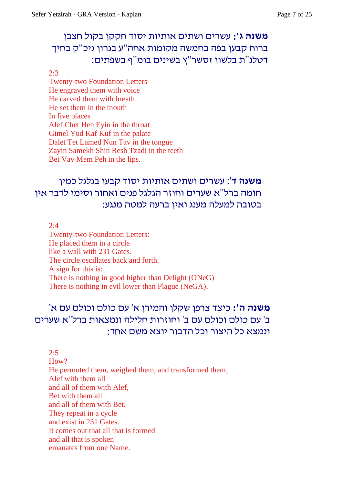# **משנה ג':** עשרים ושתים אותיות יסוד חקקן בקול חצבן ברוח קבען בפה בחמשה מקומות אחה"ע בגרון גיכ"ק בחיך דטלנ"ת בלשון זסשר"ץ בשינים בומ"ף בשפתים:

#### 2:3

Twenty-two Foundation Letters He engraved them with voice He carved them with breath He set them in the mouth In five places Alef Chet Heh Eyin in the throat Gimel Yud Kaf Kuf in the palate Dalet Tet Lamed Nun Tav in the tongue Zayin Samekh Shin Resh Tzadi in the teeth Bet Vav Mem Peh in the lips.

# **משנה ד**': עשרים ושתים אותיות יסוד קבען בגלגל כמין חומה ברל"א שערים וחוזר הגלגל פנים ואחור וסימן לדבר אין בטובה למעלה מענג ואין ברעה למטה מנגע:

 $2:4$ 

Twenty-two Foundation Letters: He placed them in a circle like a wall with 231 Gates. The circle oscillates back and forth. A sign for this is: There is nothing in good higher than Delight (ONeG) There is nothing in evil lower than Plague (NeGA).

# **משנה ה':** כיצד צרפן שקלן והמירן א' עם כולם וכולם עם א' ב' עם כולם וכולם עם ב' וחוזרות חלילה ונמצאות ברל"א שערים ונמצא כל היצור וכל הדבור יוצא משם אחד:

2:5 How? He permuted them, weighed them, and transformed them, Alef with them all and all of them with Alef, Bet with them all and all of them with Bet. They repeat in a cycle and exist in 231 Gates. It comes out that all that is formed and all that is spoken emanates from one Name.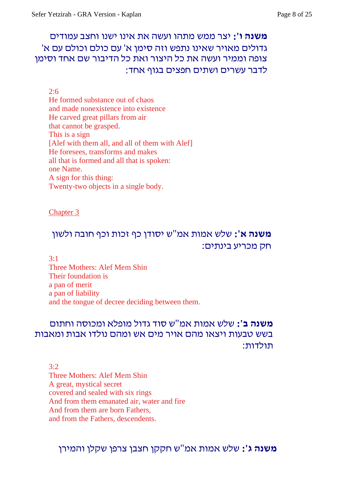# **משנה ו':** יצר ממש מתהו ועשה את אינו ישנו וחצב עמודים גדולים מאויר שאינו נתפש וזה סימן א' עם כולם וכולם עם א' צופה וממיר ועשה את כל היצור ואת כל הדיבור שם אחד וסימן לדבר עשרים ושתים חפצים בגוף אחד:

### 2:6

He formed substance out of chaos and made nonexistence into existence He carved great pillars from air that cannot be grasped. This is a sign [Alef with them all, and all of them with Alef] He foresees, transforms and makes all that is formed and all that is spoken: one Name. A sign for this thing: Twenty-two objects in a single body.

### Chapter 3

# **משנה א':** שלש אמות אמ"ש יסודן כף זכות וכף חובה ולשון חק מכריע בינתים:

 $3.1$ 

Three Mothers: Alef Mem Shin Their foundation is a pan of merit a pan of liability and the tongue of decree deciding between them.

### **משנה ב':** שלש אמות אמ"ש סוד גדול מופלא ומכוסה וחתום בשש טבעות ויצאו מהם אויר מים אש ומהם נולדו אבות ומאבות תולדות:

 $3.2$ 

Three Mothers: Alef Mem Shin A great, mystical secret covered and sealed with six rings And from them emanated air, water and fire And from them are born Fathers, and from the Fathers, descendents.

**משנה ג':** שלש אמות אמ"ש חקקן חצבן צרפן שקלן והמירן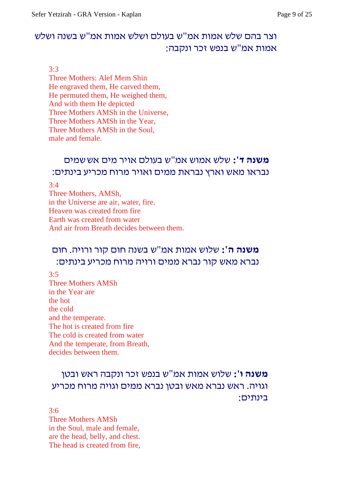# וצר בהם שלש אמות אמ"ש בעולם ושלש אמות אמ"ש בשנה ושלש אמות אמ"ש בנפש זכר ונקבה:

#### 3:3

Three Mothers: Alef Mem Shin He engraved them, He carved them, He permuted them, He weighed them, And with them He depicted Three Mothers AMSh in the Universe, Three Mothers AMSh in the Year, Three Mothers AMSh in the Soul, male and female.

### **משנה ד':** שלש אמוש אמ"ש בעולם אויר מים אששמים נבראו מאש וארץ נבראת ממים ואויר מרוח מכריע בינתים:

#### 3:4

Three Mothers, AMSh, in the Universe are air, water, fire. Heaven was created from fire Earth was created from water And air from Breath decides between them.

# **משנה ה':** שלוש אמות אמ"ש בשנה חום קור ורויה. חום נברא מאש קור נברא ממים ורויה מרוח מכריע בינתים:

#### 3:5

Three Mothers AMSh in the Year are the hot the cold and the temperate. The hot is created from fire The cold is created from water And the temperate, from Breath, decides between them.

# **משנה ו':** שלוש אמות אמ"ש בנפש זכר ונקבה ראש ובטן וגויה. ראש נברא מאש ובטן נברא ממים וגויה מרוח מכריע בינתים:

3:6 Three Mothers AMSh in the Soul, male and female, are the head, belly, and chest. The head is created from fire,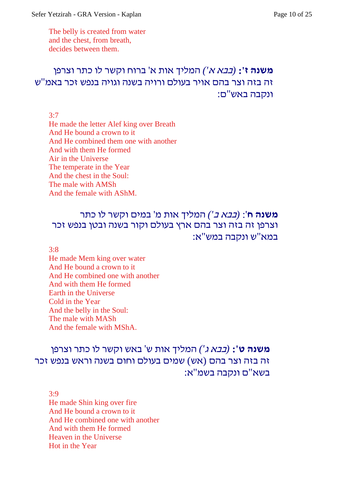The belly is created from water and the chest, from breath, decides between them.

# **משנה ז':** *(בבא <sup>א</sup>')* המליך אות א' ברוח וקשר לו כתר וצרפן זה בזה וצר בהם אויר בעולם ורויה בשנה וגויה בנפש זכר באמ"ש ונקבה באש"ם:

3:7

He made the letter Alef king over Breath And He bound a crown to it And He combined them one with another And with them He formed Air in the Universe The temperate in the Year And the chest in the Soul: The male with AMSh And the female with AShM.

# **משנה ח**': *(בבא <sup>ב</sup>')* המליך אות מ' במים וקשר לו כתר וצרפן זה בזה וצר בהם ארץ בעולם וקור בשנה ובטן בנפש זכר במא"ש ונקבה במש"א:

3:8

He made Mem king over water And He bound a crown to it And He combined one with another And with them He formed Earth in the Universe Cold in the Year And the belly in the Soul: The male with MASh And the female with MShA.

# **משנה ט':** *(בבא <sup>ג</sup>')* המליך אות ש' באש וקשר לו כתר וצרפן זה בזה וצר בהם (אש) שמים בעולם וחום בשנה וראש בנפש זכר בשא"ם ונקבה בשמ"א:

3:9

He made Shin king over fire And He bound a crown to it And He combined one with another And with them He formed Heaven in the Universe Hot in the Year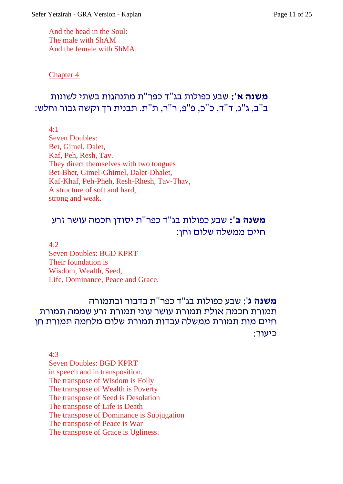And the head in the Soul: The male with ShAM And the female with ShMA.

#### Chapter 4

# **משנה א':** שבע כפולות בג"ד כפר"ת מתנהגות בשתי לשונות ב"ב, ג"ג, ד"ד, כ"כ, פ"פ, ר"ר, ת"ת. תבנית רך וקשה גבור וחלש:

4:1

Seven Doubles: Bet, Gimel, Dalet, Kaf, Peh, Resh, Tav. They direct themselves with two tongues Bet-Bhet, Gimel-Ghimel, Dalet-Dhalet, Kaf-Khaf, Peh-Pheh, Resh-Rhesh, Tav-Thav, A structure of soft and hard, strong and weak.

# **משנה ב':** שבע כפולות בג"ד כפר"ת יסודן חכמה עושר זרע חיים ממשלה שלום וחן:

4:2

Seven Doubles: BGD KPRT Their foundation is Wisdom, Wealth, Seed, Life, Dominance, Peace and Grace.

### **משנה ג**': שבע כפולות בג"ד כפר"ת בדבור ובתמורה תמורת חכמה אולת תמורת עושר עוני תמורת זרע שממה תמורת חיים מות תמורת ממשלה עבדות תמורת שלום מלחמה תמורת חן כיעור:

4:3

Seven Doubles: BGD KPRT in speech and in transposition. The transpose of Wisdom is Folly The transpose of Wealth is Poverty The transpose of Seed is Desolation The transpose of Life is Death The transpose of Dominance is Subjugation The transpose of Peace is War The transpose of Grace is Ugliness.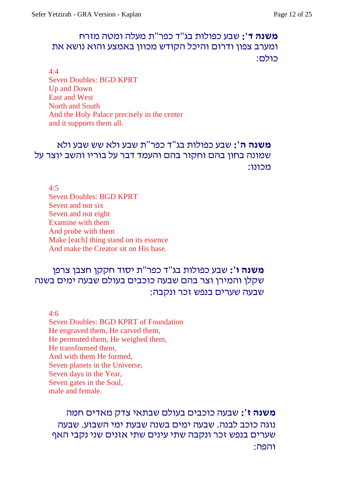### **משנה ד':** שבע כפולות בג"ד כפר"ת מעלה ומטה מזרח ומערב צפון ודרום והיכל הקודש מכוון באמצע והוא נושא את כולם:

4:4 Seven Doubles: BGD KPRT Up and Down East and West North and South And the Holy Palace precisely in the center and it supports them all.

# **משנה ה':** שבע כפולות בג"ד כפר"ת שבע ולא שש שבע ולא שמונה בחון בהם וחקור בהם והעמד דבר על בוריו והשב יוצר על מכונו:

4:5 Seven Doubles: BGD KPRT Seven and not six Seven and not eight Examine with them And probe with them Make [each] thing stand on its essence And make the Creator sit on His base.

# **משנה ו':** שבע כפולות בג"ד כפר"ת יסוד חקקן חצבן צרפן שקלן והמירן וצר בהם שבעה כוכבים בעולם שבעה ימים בשנה שבעה שערים בנפש זכר ונקבה:

4:6

Seven Doubles: BGD KPRT of Foundation He engraved them, He carved them, He permuted them, He weighed them, He transformed them, And with them He formed, Seven planets in the Universe, Seven days in the Year, Seven gates in the Soul, male and female.

# **משנה ז':** שבעה כוכבים בעולם שבתאי צדק מאדים חמה נוגה כוכב לבנה. שבעה ימים בשנה שבעת ימי השבוע. שבעה שערים בנפש זכר ונקבה שתי עינים שתי אזנים שני נקבי האף והפה: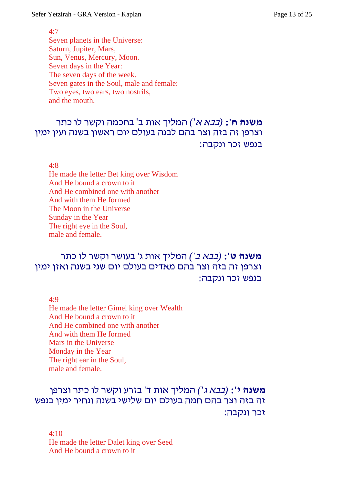#### 4:7

Seven planets in the Universe: Saturn, Jupiter, Mars, Sun, Venus, Mercury, Moon. Seven days in the Year: The seven days of the week. Seven gates in the Soul, male and female: Two eyes, two ears, two nostrils, and the mouth.

# **משנה ח':** *(בבא <sup>א</sup>')* המליך אות ב' בחכמה וקשר לו כתר וצרפן זה בזה וצר בהם לבנה בעולם יום ראשון בשנה ועין ימין בנפש זכר ונקבה:

4:8

He made the letter Bet king over Wisdom And He bound a crown to it And He combined one with another And with them He formed The Moon in the Universe Sunday in the Year The right eye in the Soul, male and female.

# **משנה ט':** *(בבא <sup>ב</sup>')* המליך אות ג' בעושר וקשר לו כתר וצרפן זה בזה וצר בהם מאדים בעולם יום שני בשנה ואזן ימין בנפש זכר ונקבה:

4:9

He made the letter Gimel king over Wealth And He bound a crown to it And He combined one with another And with them He formed Mars in the Universe Monday in the Year The right ear in the Soul, male and female.

# **משנה י':** *(בבא <sup>ג</sup>')* המליך אות ד' בזרע וקשר לו כתר וצרפן זה בזה וצר בהם חמה בעולם יום שלישי בשנה ונחיר ימין בנפש זכר ונקבה:

4:10 He made the letter Dalet king over Seed And He bound a crown to it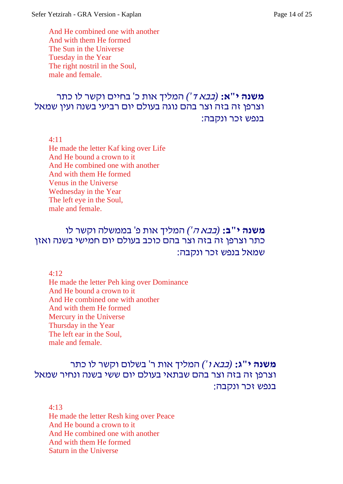And He combined one with another And with them He formed The Sun in the Universe Tuesday in the Year The right nostril in the Soul, male and female.

### **משנה י"א:** *(בבא <sup>ד</sup>')* המליך אות כ' בחיים וקשר לו כתר וצרפן זה בזה וצר בהם נוגה בעולם יום רביעי בשנה ועין שמאל בנפש זכר ונקבה:

4:11

He made the letter Kaf king over Life And He bound a crown to it And He combined one with another And with them He formed Venus in the Universe Wednesday in the Year The left eye in the Soul, male and female.

# **משנה י"ב:** *(בבא <sup>ה</sup>')* המליך אות פ' בממשלה וקשר לו כתר וצרפן זה בזה וצר בהם כוכב בעולם יום חמישי בשנה ואזן שמאל בנפש זכר ונקבה:

4:12

He made the letter Peh king over Dominance And He bound a crown to it And He combined one with another And with them He formed Mercury in the Universe Thursday in the Year The left ear in the Soul, male and female.

# **משנה י"ג:** *(בבא <sup>ו</sup>')* המליך אות ר' בשלום וקשר לו כתר וצרפן זה בזה וצר בהם שבתאי בעולם יום ששי בשנה ונחיר שמאל בנפש זכר ונקבה:

4:13 He made the letter Resh king over Peace And He bound a crown to it And He combined one with another And with them He formed Saturn in the Universe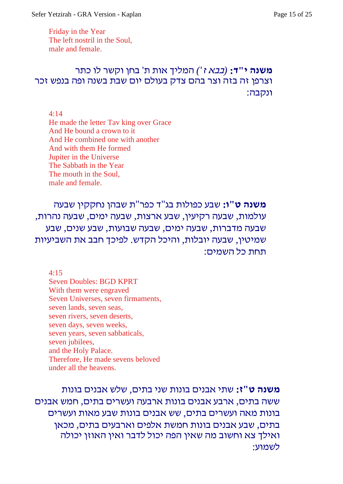Friday in the Year The left nostril in the Soul, male and female.

# **משנה י"ד:** *(בבא <sup>ז</sup>')* המליך אות ת' בחן וקשר לו כתר וצרפן זה בזה וצר בהם צדק בעולם יום שבת בשנה ופה בנפש זכר ונקבה:

4:14

He made the letter Tav king over Grace And He bound a crown to it And He combined one with another And with them He formed Jupiter in the Universe The Sabbath in the Year The mouth in the Soul, male and female.

**משנה ט"ו:** שבע כפולות בג"ד כפר"ת שבהן נחקקין שבעה עולמות, שבעה רקיעין, שבע ארצות, שבעה ימים, שבעה נהרות, שבעה מדברות, שבעה ימים, שבעה שבועות, שבע שנים, שבע שמיטין, שבעה יובלות, והיכל הקדש. לפיכך חבב את השביעיות תחת כל השמים:

4:15

Seven Doubles: BGD KPRT With them were engraved Seven Universes, seven firmaments, seven lands, seven seas, seven rivers, seven deserts, seven days, seven weeks, seven years, seven sabbaticals, seven jubilees, and the Holy Palace. Therefore, He made sevens beloved under all the heavens.

**משנה ט"ז:** שתי אבנים בונות שני בתים, שלש אבנים בונות ששה בתים, ארבע אבנים בונות ארבעה ועשרים בתים, חמש אבנים בונות מאה ועשרים בתים, שש אבנים בונות שבע מאות ועשרים בתים, שבע אבנים בונות חמשת אלפים וארבעים בתים, מכאן ואילך צא וחשוב מה שאין הפה יכול לדבר ואין האוזן יכולה לשמוע: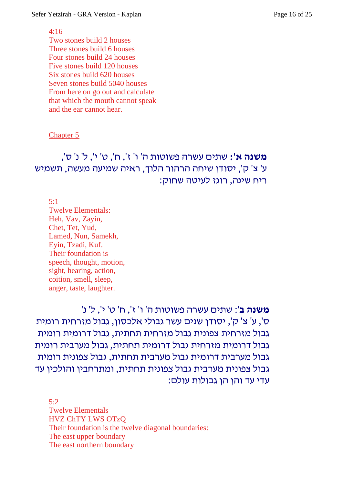Sefer Yetzirah - GRA Version - Kaplan Page 16 of 25

#### 4:16

Two stones build 2 houses Three stones build 6 houses Four stones build 24 houses Five stones build 120 houses Six stones build 620 houses Seven stones build 5040 houses From here on go out and calculate that which the mouth cannot speak and the ear cannot hear.

#### Chapter 5

# **משנה א':** שתים עשרה פשוטות ה' ו' ז', ח', ט' י', ל' נ' ס', ע' צ' ק', יסודן שיחה הרהור הלוך, ראיה שמיעה מעשה, תשמיש ריח שינה, רוגז לעיטה שחוק:

5:1

Twelve Elementals: Heh, Vav, Zayin, Chet, Tet, Yud, Lamed, Nun, Samekh, Eyin, Tzadi, Kuf. Their foundation is speech, thought, motion, sight, hearing, action, coition, smell, sleep, anger, taste, laughter.

**משנה ב**': שתים עשרה פשוטות ה' ו' ז', ח' ט' י', ל' נ' ס', ע' צ' ק', יסודן שנים עשר גבולי אלכסון, גבול מזרחית רומית גבול מזרחית צפונית גבול מזרחית תחתית, גבול דרומית רומית גבול דרומית מזרחית גבול דרומית תחתית, גבול מערבית רומית גבול מערבית דרומית גבול מערבית תחתית, גבול צפונית רומית גבול צפונית מערבית גבול צפונית תחתית, ומתרחבין והולכין עד עדי עד והן הן גבולות עולם:

5:2 Twelve Elementals HVZ ChTY LWS OTzQ Their foundation is the twelve diagonal boundaries: The east upper boundary The east northern boundary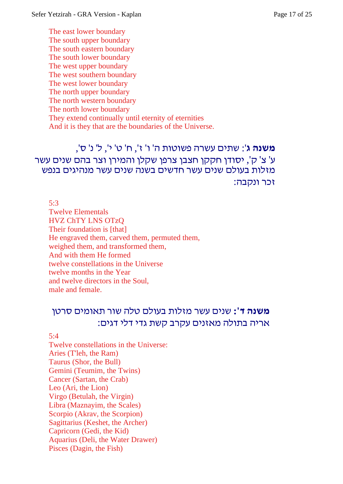The east lower boundary The south upper boundary The south eastern boundary The south lower boundary The west upper boundary The west southern boundary The west lower boundary The north upper boundary The north western boundary The north lower boundary They extend continually until eternity of eternities And it is they that are the boundaries of the Universe.

**משנה ג**': שתים עשרה פשוטות ה' ו' ז', ח' ט' י', ל' נ' ס', ע' צ' ק', יסודן חקקן חצבן צרפן שקלן והמירן וצר בהם שנים עשר מזלות בעולם שנים עשר חדשים בשנה שנים עשר מנהיגים בנפש זכר ונקבה:

5:3 Twelve Elementals HVZ ChTY LNS OTzQ Their foundation is [that] He engraved them, carved them, permuted them, weighed them, and transformed them, And with them He formed twelve constellations in the Universe twelve months in the Year and twelve directors in the Soul, male and female.

# **משנה ד':** שנים עשר מזלות בעולם טלה שור תאומים סרטן אריה בתולה מאזנים עקרב קשת גדי דלי דגים:

#### 5:4

Twelve constellations in the Universe: Aries (T'leh, the Ram) Taurus (Shor, the Bull) Gemini (Teumim, the Twins) Cancer (Sartan, the Crab) Leo (Ari, the Lion) Virgo (Betulah, the Virgin) Libra (Maznayim, the Scales) Scorpio (Akrav, the Scorpion) Sagittarius (Keshet, the Archer) Capricorn (Gedi, the Kid) Aquarius (Deli, the Water Drawer) Pisces (Dagin, the Fish)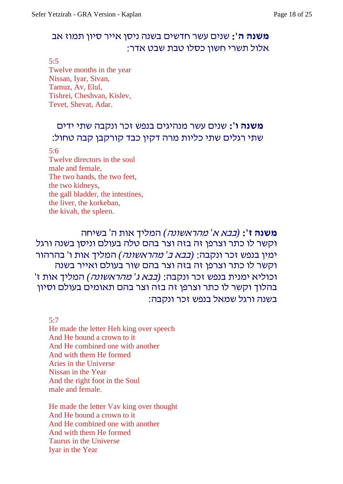# **משנה ה':** שנים עשר חדשים בשנה ניסן אייר סיון תמוז אב אלול תשרי חשון כסלו טבת שבט אדר:

5:5

Twelve months in the year Nissan, Iyar, Sivan, Tamuz, Av, Elul, Tishrei, Cheshvan, Kislev, Tevet, Shevat, Adar.

# **משנה ו':** שנים עשר מנהיגים בנפש זכר ונקבה שתי ידים שתי רגלים שתי כליות מרה דקין כבד קורקבן קבה טחול:

#### 5:6

Twelve directors in the soul male and female, The two hands, the two feet, the two kidneys, the gall bladder, the intestines, the liver, the korkeban, the kivah, the spleen.

**משנה ז':** *(בבא <sup>א</sup>' מהראשונה)* המליך אות ה' בשיחה וקשר לו כתר וצרפן זה בזה וצר בהם טלה בעולם וניסן בשנה ורגל ימין בנפש זכר ונקבה: *(בבא <sup>ב</sup>' מהראשונה)* המליך אות ו' בהרהור וקשר לו כתר וצרפן זה בזה וצר בהם שור בעולם ואייר בשנה וכוליא ימנית בנפש זכר ונקבה: *(בבא <sup>ג</sup>' מהראשונה)* המליך אות ז' בהלוך וקשר לו כתר וצרפן זה בזה וצר בהם תאומים בעולם וסיון בשנה ורגל שמאל בנפש זכר ונקבה:

5:7 He made the letter Heh king over speech And He bound a crown to it And He combined one with another And with them He formed Aries in the Universe Nissan in the Year And the right foot in the Soul male and female.

He made the letter Vav king over thought And He bound a crown to it And He combined one with another And with them He formed Taurus in the Universe Iyar in the Year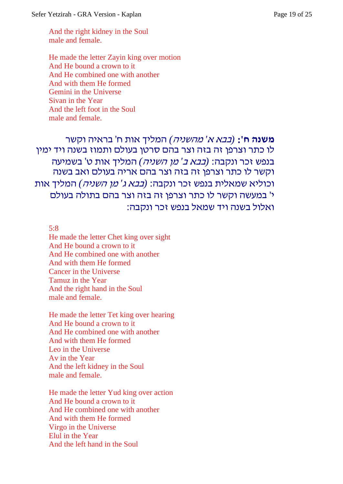And the right kidney in the Soul male and female.

He made the letter Zayin king over motion And He bound a crown to it And He combined one with another And with them He formed Gemini in the Universe Sivan in the Year And the left foot in the Soul male and female.

**משנה ח':** *(בבא <sup>א</sup>' מהשניה)* המליך אות ח' בראיה וקשר לו כתר וצרפן זה בזה וצר בהם סרטן בעולם ותמוז בשנה ויד ימין בנפש זכר ונקבה: *(בבא <sup>ב</sup>' מן השניה)* המליך אות ט' בשמיעה וקשר לו כתר וצרפן זה בזה וצר בהם אריה בעולם ואב בשנה וכוליא שמאלית בנפש זכר ונקבה: *(בבא <sup>ג</sup>' מן השניה)* המליך אות י' במעשה וקשר לו כתר וצרפן זה בזה וצר בהם בתולה בעולם ואלול בשנה ויד שמאל בנפש זכר ונקבה:

5:8

He made the letter Chet king over sight And He bound a crown to it And He combined one with another And with them He formed Cancer in the Universe Tamuz in the Year And the right hand in the Soul male and female.

He made the letter Tet king over hearing And He bound a crown to it And He combined one with another And with them He formed Leo in the Universe Av in the Year And the left kidney in the Soul male and female.

He made the letter Yud king over action And He bound a crown to it And He combined one with another And with them He formed Virgo in the Universe Elul in the Year And the left hand in the Soul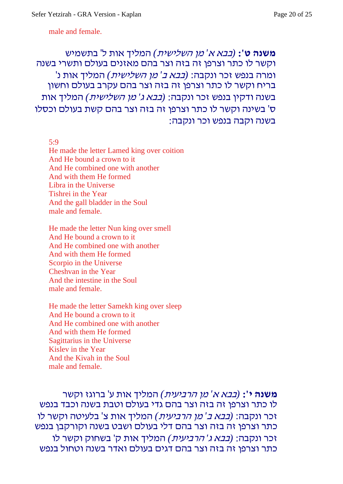male and female.

**משנה ט':** *(בבא <sup>א</sup>' מן השלישית)* המליך אות ל' בתשמיש וקשר לו כתר וצרפן זה בזה וצר בהם מאזנים בעולם ותשרי בשנה ומרה בנפש זכר ונקבה: *(בבא <sup>ב</sup>' מן השלישית)* המליך אות נ' בריח וקשר לו כתר וצרפן זה בזה וצר בהם עקרב בעולם וחשון בשנה ודקין בנפש זכר ונקבה: *(בבא <sup>ג</sup>' מן השלישית)* המליך אות ס' בשינה וקשר לו כתר וצרפן זה בזה וצר בהם קשת בעולם וכסלו בשנה וקבה בנפש וכר ונקבה:

#### 5:9

He made the letter Lamed king over coition And He bound a crown to it And He combined one with another And with them He formed Libra in the Universe Tishrei in the Year And the gall bladder in the Soul male and female.

He made the letter Nun king over smell And He bound a crown to it And He combined one with another And with them He formed Scorpio in the Universe Cheshvan in the Year And the intestine in the Soul male and female.

He made the letter Samekh king over sleep And He bound a crown to it And He combined one with another And with them He formed Sagittarius in the Universe Kislev in the Year And the Kivah in the Soul male and female.

**משנה י':** *(בבא <sup>א</sup>' מן הרביעית)* המליך אות ע' ברוגז וקשר לו כתר וצרפן זה בזה וצר בהם גדי בעולם וטבת בשנה וכבד בנפש זכר ונקבה: *(בבא <sup>ב</sup>' מן הרביעית)* המליך אות צ' בלעיטה וקשר לו כתר וצרפן זה בזה וצר בהם דלי בעולם ושבט בשנה וקורקבן בנפש זכר ונקבה: *(בבא <sup>ג</sup>' הרביעית)* המליך אות ק' בשחוק וקשר לו כתר וצרפן זה בזה וצר בהם דגים בעולם ואדר בשנה וטחול בנפש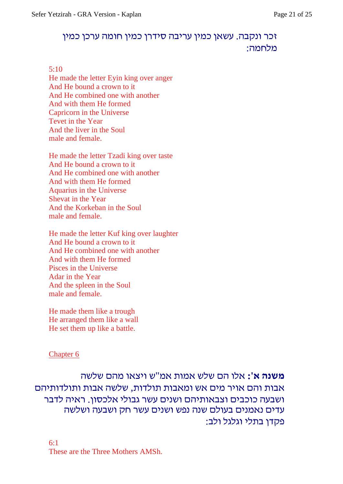### זכר ונקבה. עשאן כמין עריבה סידרן כמין חומה ערכן כמין מלחמה:

#### 5:10

He made the letter Eyin king over anger And He bound a crown to it And He combined one with another And with them He formed Capricorn in the Universe Tevet in the Year And the liver in the Soul male and female.

He made the letter Tzadi king over taste And He bound a crown to it And He combined one with another And with them He formed Aquarius in the Universe Shevat in the Year And the Korkeban in the Soul male and female.

He made the letter Kuf king over laughter And He bound a crown to it And He combined one with another And with them He formed Pisces in the Universe Adar in the Year And the spleen in the Soul male and female.

He made them like a trough He arranged them like a wall He set them up like a battle.

#### Chapter 6

**משנה א':** אלו הם שלש אמות אמ"ש ויצאו מהם שלשה אבות והם אויר מים אש ומאבות תולדות, שלשה אבות ותולדותיהם ושבעה כוכבים וצבאותיהם ושנים עשר גבולי אלכסון. ראיה לדבר עדים נאמנים בעולם שנה נפש ושנים עשר חק ושבעה ושלשה פקדן בתלי וגלגל ולב:

6:1 These are the Three Mothers AMSh.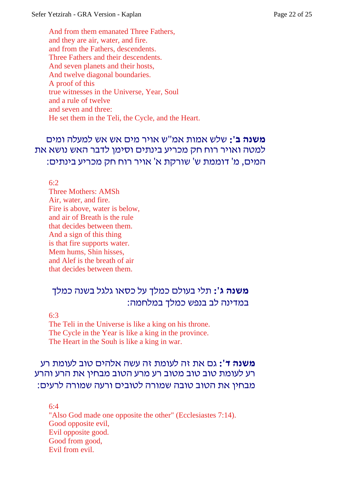And from them emanated Three Fathers, and they are air, water, and fire. and from the Fathers, descendents. Three Fathers and their descendents. And seven planets and their hosts, And twelve diagonal boundaries. A proof of this true witnesses in the Universe, Year, Soul and a rule of twelve and seven and three: He set them in the Teli, the Cycle, and the Heart.

# **משנה ב':** שלש אמות אמ"ש אויר מים אש אש למעלה ומים למטה ואויר רוח חק מכריע בינתים וסימן לדבר האש נושא את המים, מ' דוממת ש' שורקת א' אויר רוח חק מכריע בינתים:

6:2

Three Mothers: AMSh Air, water, and fire. Fire is above, water is below, and air of Breath is the rule that decides between them. And a sign of this thing is that fire supports water. Mem hums, Shin hisses, and Alef is the breath of air that decides between them.

### **משנה ג':** תלי בעולם כמלך על כסאו גלגל בשנה כמלך במדינה לב בנפש כמלך במלחמה:

6:3

The Teli in the Universe is like a king on his throne. The Cycle in the Year is like a king in the province. The Heart in the Souh is like a king in war.

# **משנה ד':** גם את זה לעומת זה עשה אלהים טוב לעומת רע רע לעומת טוב טוב מטוב רע מרע הטוב מבחין את הרע והרע מבחין את הטוב טובה שמורה לטובים ורעה שמורה לרעים:

6:4 "Also God made one opposite the other" (Ecclesiastes 7:14). Good opposite evil, Evil opposite good. Good from good, Evil from evil.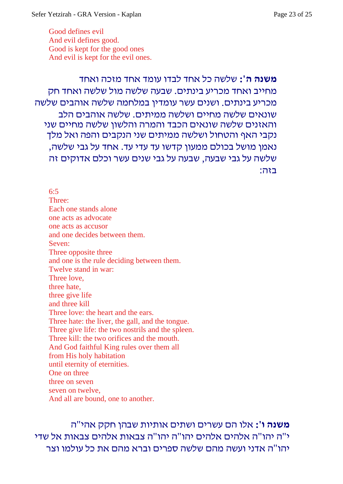Good defines evil And evil defines good. Good is kept for the good ones And evil is kept for the evil ones.

**משנה ה':** שלשה כל אחד לבדו עומד אחד מזכה ואחד מחייב ואחד מכריע בינתים. שבעה שלשה מול שלשה ואחד חק מכריע בינתים. ושנים עשר עומדין במלחמה שלשה אוהבים שלשה שונאים שלשה מחיים ושלשה ממיתים. שלשה אוהבים הלב והאזנים שלשה שונאים הכבד והמרה והלשון שלשה מחיים שני נקבי האף והטחול ושלשה ממיתים שני הנקבים והפה ואל מלך נאמן מושל בכולם ממעון קדשו עד עדי עד. אחד על גבי שלשה, שלשה על גבי שבעה, שבעה על גבי שנים עשר וכלם אדוקים זה בזה:

6:5 Three: Each one stands alone one acts as advocate one acts as accusor and one decides between them. Seven: Three opposite three and one is the rule deciding between them. Twelve stand in war: Three love, three hate, three give life and three kill Three love: the heart and the ears. Three hate: the liver, the gall, and the tongue. Three give life: the two nostrils and the spleen. Three kill: the two orifices and the mouth. And God faithful King rules over them all from His holy habitation until eternity of eternities. One on three three on seven seven on twelve, And all are bound, one to another.

**משנה ו':** אלו הם עשרים ושתים אותיות שבהן חקק אהי"ה י"ה יהו"ה אלהים אלהים יהו"ה יהו"ה צבאות אלהים צבאות אל שדי יהו"ה אדני ועשה מהם שלשה ספרים וברא מהם את כל עולמו וצר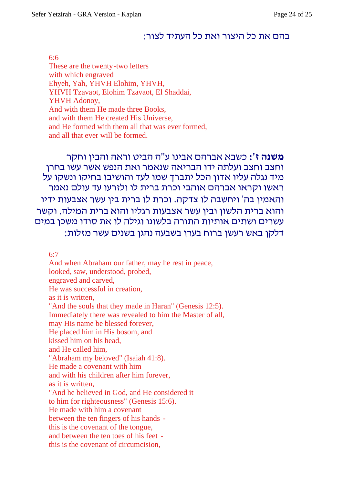### בהם את כל היצור ואת כל העתיד לצור:

#### 6:6

These are the twenty-two letters with which engraved Ehyeh, Yah, YHVH Elohim, YHVH, YHVH Tzavaot, Elohim Tzavaot, El Shaddai, YHVH Adonoy, And with them He made three Books, and with them He created His Universe, and He formed with them all that was ever formed, and all that ever will be formed.

**משנה ז':** כשבא אברהם אבינו ע"ה הביט וראה והבין וחקר וחצב וחצב ועלתה ידו הבריאה שנאמר ואת הנפש אשר עשו בחרן מיד נגלה עליו אדון הכל יתברך שמו לעד והושיבו בחיקו ונשקו על ראשו וקראו אברהם אוהבי וכרת ברית לו ולזרעו עד עולם נאמר והאמין בה' ויחשבה לו צדקה. וכרת לו ברית בין עשר אצבעות ידיו והוא ברית הלשון ובין עשר אצבעות רגליו והוא ברית המילה. וקשר עשרים ושתים אותיות התורה בלשונו וגילה לו את סודו משכן במים דלקן באש רעשן ברוח בערן בשבעה נהגן בשנים עשר מזלות:

6:7

And when Abraham our father, may he rest in peace, looked, saw, understood, probed, engraved and carved, He was successful in creation, as it is written, "And the souls that they made in Haran" (Genesis 12:5). Immediately there was revealed to him the Master of all, may His name be blessed forever, He placed him in His bosom, and kissed him on his head, and He called him, "Abraham my beloved" (Isaiah 41:8). He made a covenant with him and with his children after him forever, as it is written, "And he believed in God, and He considered it to him for righteousness" (Genesis 15:6). He made with him a covenant between the ten fingers of his hands this is the covenant of the tongue, and between the ten toes of his feet this is the covenant of circumcision,